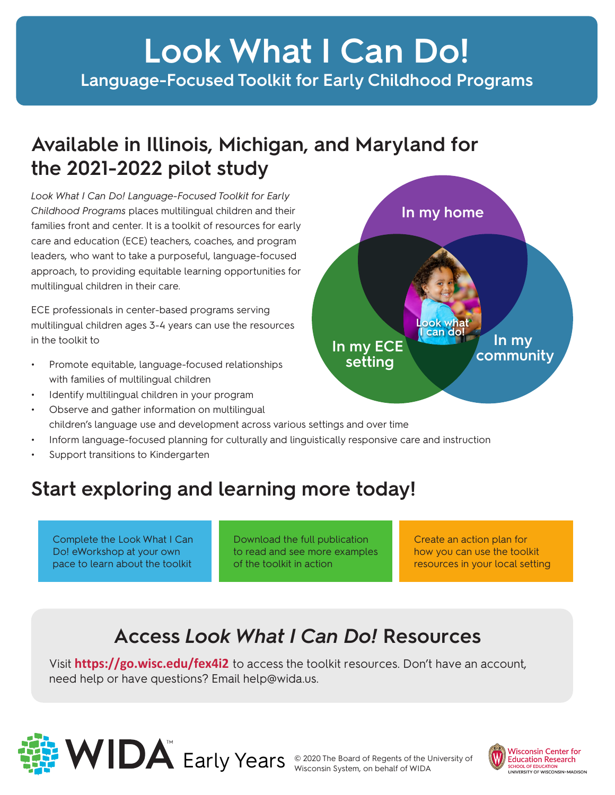## **Look What I Can Do! Language-Focused Toolkit for Early Childhood Programs**

## **Available in Illinois, Michigan, and Maryland for the 2021-2022 pilot study**

*Look What I Can Do! Language-Focused Toolkit for Early Childhood Programs* places multilingual children and their families front and center. It is a toolkit of resources for early care and education (ECE) teachers, coaches, and program leaders, who want to take a purposeful, language-focused approach, to providing equitable learning opportunities for multilingual children in their care.

ECE professionals in center-based programs serving multilingual children ages 3-4 years can use the resources in the toolkit to

- Promote equitable, language-focused relationships with families of multilingual children
- Identify multilingual children in your program
- Observe and gather information on multilingual children's language use and development across various settings and over time
- Inform language-focused planning for culturally and linguistically responsive care and instruction
- Support transitions to Kindergarten

## **Start exploring and learning more today!**

Complete the Look What I Can Do! eWorkshop at your own pace to learn about the toolkit

Download the full publication to read and see more examples of the toolkit in action

Create an action plan for how you can use the toolkit resources in your local setting

## **Access** *Look What I Can Do!* **Resources**

Visit **<https://go.wisc.edu/fex4i2>** to access the toolkit resources. Don't have an account, need help or have questions? Email help@wida.us.